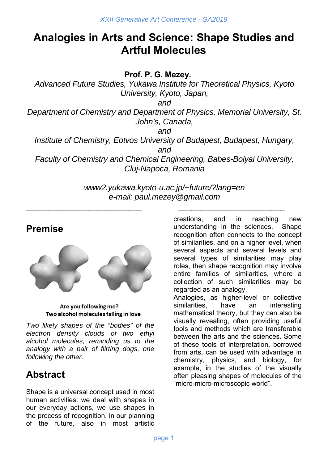# **Analogies in Arts and Science: Shape Studies and Artful Molecules**

**Prof. P. G. Mezey.** 

*Advanced Future Studies, Yukawa Institute for Theoretical Physics, Kyoto University, Kyoto, Japan,* 

*and* 

*Department of Chemistry and Department of Physics, Memorial University, St. John's, Canada,* 

*and* 

*Institute of Chemistry, Eotvos University of Budapest, Budapest, Hungary, and* 

*Faculty of Chemistry and Chemical Engineering, Babes-Bolyai University, Cluj-Napoca, Romania* 

> *www2.yukawa.kyoto-u.ac.jp/~future/?lang=en e-mail: paul.mezey@gmail.com*

 $\overline{\phantom{a}}$  , and the contract of the contract of the contract of the contract of the contract of the contract of the contract of the contract of the contract of the contract of the contract of the contract of the contrac

### **Premise**



Are you following me? Two alcohol molecules falling in love

*Two likely shapes of the "bodies" of the electron density clouds of two ethyl alcohol molecules, reminding us to the analogy with a pair of flirting dogs, one following the other.* 

## **Abstract**

Shape is a universal concept used in most human activities: we deal with shapes in our everyday actions, we use shapes in the process of recognition, in our planning of the future, also in most artistic creations, and in reaching new understanding in the sciences. Shape recognition often connects to the concept of similarities, and on a higher level, when several aspects and several levels and several types of similarities may play roles, then shape recognition may involve entire families of similarities, where a collection of such similarities may be regarded as an analogy.

Analogies, as higher-level or collective similarities, have an interesting mathematical theory, but they can also be visually revealing, often providing useful tools and methods which are transferable between the arts and the sciences. Some of these tools of interpretation, borrowed from arts, can be used with advantage in chemistry, physics, and biology, for example, in the studies of the visually often pleasing shapes of molecules of the "micro-micro-microscopic world".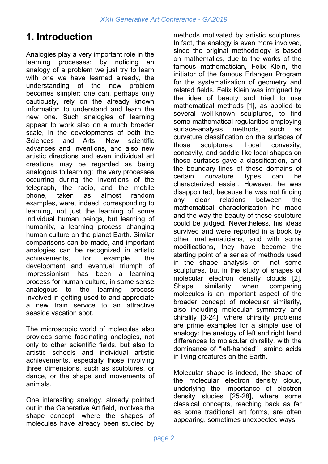## **1. Introduction**

Analogies play a very important role in the learning processes: by noticing an analogy of a problem we just try to learn with one we have learned already, the understanding of the new problem becomes simpler: one can, perhaps only cautiously, rely on the already known information to understand and learn the new one. Such analogies of learning appear to work also on a much broader scale, in the developments of both the Sciences and Arts. New scientific advances and inventions, and also new artistic directions and even individual art creations may be regarded as being analogous to learning: the very processes occurring during the inventions of the telegraph, the radio, and the mobile phone, taken as almost random examples, were, indeed, corresponding to learning, not just the learning of some individual human beings, but learning of humanity, a learning process changing human culture on the planet Earth. Similar comparisons can be made, and important analogies can be recognized in artistic achievements, for example, the development and eventual triumph of impressionism has been a learning process for human culture, in some sense analogous to the learning process involved in getting used to and appreciate a new train service to an attractive seaside vacation spot.

The microscopic world of molecules also provides some fascinating analogies, not only to other scientific fields, but also to artistic schools and individual artistic achievements, especially those involving three dimensions, such as sculptures, or dance, or the shape and movements of animals.

One interesting analogy, already pointed out in the Generative Art field, involves the shape concept, where the shapes of molecules have already been studied by

methods motivated by artistic sculptures. In fact, the analogy is even more involved, since the original methodology is based on mathematics, due to the works of the famous mathematician, Felix Klein, the initiator of the famous Erlangen Program for the systematization of geometry and related fields. Felix Klein was intrigued by the idea of beauty and tried to use mathematical methods [1], as applied to several well-known sculptures, to find some mathematical regularities employing surface-analysis methods, such as curvature classification on the surfaces of those sculptures. Local convexity, concavity, and saddle like local shapes on those surfaces gave a classification, and the boundary lines of those domains of certain curvature types can be characterized easier. However, he was disappointed, because he was not finding any clear relations between the mathematical characterization he made and the way the beauty of those sculpture could be judged. Nevertheless, his ideas survived and were reported in a book by other mathematicians, and with some modifications, they have become the starting point of a series of methods used in the shape analysis of not some sculptures, but in the study of shapes of molecular electron density clouds [2]. Shape similarity when comparing molecules is an important aspect of the broader concept of molecular similarity, also including molecular symmetry and chirality [3-24], where chirality problems are prime examples for a simple use of analogy: the analogy of left and right hand differences to molecular chirality, with the dominance of "left-handed" amino acids in living creatures on the Earth.

Molecular shape is indeed, the shape of the molecular electron density cloud, underlying the importance of electron density studies [25-28], where some classical concepts, reaching back as far as some traditional art forms, are often appearing, sometimes unexpected ways.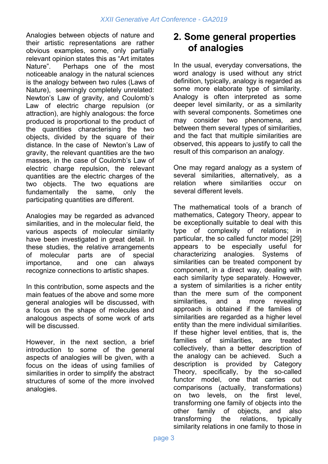Analogies between objects of nature and their artistic representations are rather obvious examples, some, only partially relevant opinion states this as "Art imitates Nature". Perhaps one of the most noticeable analogy in the natural sciences is the analogy between two rules (Laws of Nature), seemingly completely unrelated: Newton's Law of gravity, and Coulomb's Law of electric charge repulsion (or attraction), are highly analogous: the force produced is proportional to the product of the quantities characterising the two objects, divided by the square of their distance. In the case of Newton's Law of gravity, the relevant quantities are the two masses, in the case of Coulomb's Law of electric charge repulsion, the relevant quantities are the electric charges of the two objects. The two equations are fundamentally the same, only the participating quantities are different.

Analogies may be regarded as advanced similarities, and in the molecular field, the various aspects of molecular similarity have been investigated in great detail. In these studies, the relative arrangements of molecular parts are of special importance, and one can always recognize connections to artistic shapes.

In this contribution, some aspects and the main featues of the above and some more general analogies will be discussed, with a focus on the shape of molecules and analogous aspects of some work of arts will be discussed.

However, in the next section, a brief introduction to some of the general aspects of analogies will be given, with a focus on the ideas of using families of similarities in order to simplify the abstract structures of some of the more involved analogies.

### **2. Some general properties of analogies**

In the usual, everyday conversations, the word analogy is used without any strict definition, typically, analogy is regarded as some more elaborate type of similarity. Analogy is often interpreted as some deeper level similarity, or as a similarity with several components. Sometimes one may consider two phenomena, and between them several types of similarities, and the fact that multiple similarities are observed, this appears to justify to call the result of this comparison an analogy.

One may regard analogy as a system of several similarities, alternatively, as a relation where similarities occur on several different levels.

The mathematical tools of a branch of mathematics, Category Theory, appear to be exceptionally suitable to deal with this type of complexity of relations; in particular, the so called functor model [29] appears to be especially useful for characterizing analogies. Systems of similarities can be treated component by component, in a direct way, dealing with each similarity type separately. However, a system of similarities is a richer entity than the mere sum of the component similarities, and a more revealing approach is obtained if the families of similarities are regarded as a higher level entity than the mere individual similarities. If these higher level entities, that is, the families of similarities, are treated collectively, than a better description of the analogy can be achieved. Such a description is provided by Category Theory, specifically, by the so-called functor model, one that carries out comparisons (actually, transformations) on two levels, on the first level, transforming one family of objects into the other family of objects, and also transforming the relations, typically similarity relations in one family to those in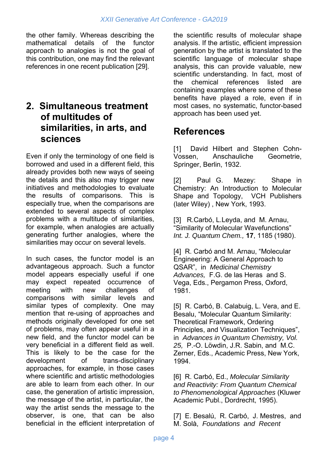the other family. Whereas describing the mathematical details of the functor approach to analogies is not the goal of this contribution, one may find the relevant references in one recent publication [29].

#### **2. Simultaneous treatment of multitudes of similarities, in arts, and sciences**

Even if only the terminology of one field is borrowed and used in a different field, this already provides both new ways of seeing the details and this also may trigger new initiatives and methodologies to evaluate the results of comparisons. This is especially true, when the comparisons are extended to several aspects of complex problems with a multitude of similarities, for example, when analogies are actually generating further analogies, where the similarities may occur on several levels.

In such cases, the functor model is an advantageous approach. Such a functor model appears especially useful if one may expect repeated occurrence of meeting with new challenges of comparisons with similar levels and similar types of complexity. One may mention that re-using of approaches and methods originally developed for one set of problems, may often appear useful in a new field, and the functor model can be very beneficial in a different field as well. This is likely to be the case for the development of trans-disciplinary approaches, for example, in those cases where scientific and artistic methodologies are able to learn from each other. In our case, the generation of artistic impression, the message of the artist, in particular, the way the artist sends the message to the observer, is one, that can be also beneficial in the efficient interpretation of the scientific results of molecular shape analysis. If the artistic, efficient impression generation by the artist is translated to the scientific language of molecular shape analysis, this can provide valuable, new scientific understanding. In fact, most of the chemical references listed are containing examples where some of these benefits have played a role, even if in most cases, no systematic, functor-based approach has been used yet.

#### **References**

[1] David Hilbert and Stephen Cohn-Vossen, Anschauliche Geometrie, Springer, Berlin, 1932.

[2] Paul G. Mezey: Shape in Chemistry: An Introduction to Molecular Shape and Topology, VCH Publishers (later Wiley) , New York, 1993.

[3] R.Carbó, L.Leyda, and M. Arnau, "Similarity of Molecular Wavefunctions" *Int. J. Quantum Chem.,* **17**, 1185 (1980).

[4] R. Carbó and M. Arnau, "Molecular Engineering: A General Approach to QSAR", in *Medicinal Chemistry Advances,* F.G. de las Heras and S. Vega, Eds., Pergamon Press, Oxford, 1981.

[5] R. Carbó, B. Calabuig, L. Vera, and E. Besalu, "Molecular Quantum Similarity: Theoretical Framework, Ordering Principles, and Visualization Techniques", in *Advances in Quantum Chemistry, Vol. 25,* P.-O. Löwdin, J.R. Sabin, and M.C. Zerner, Eds., Academic Press, New York, 1994.

[6] R. Carbó, Ed., *Molecular Similarity and Reactivity: From Quantum Chemical to Phenomenological Approaches* (Kluwer Academic Publ., Dordrecht, 1995).

[7] E. Besalú, R. Carbó, J. Mestres, and M. Solà, *Foundations and Recent*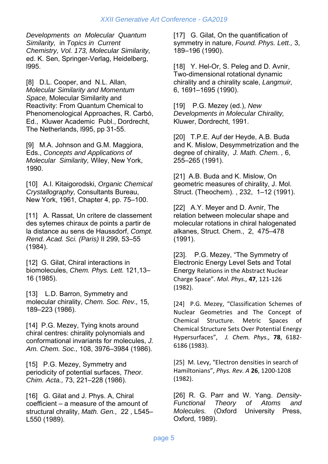*Developments on Molecular Quantum Similarity,* in *Topics in Current Chemistry, Vol. 173, Molecular Similarity,* ed. K. Sen, Springer-Verlag, Heidelberg, l995.

[8] D.L. Cooper, and N.L. Allan, *Molecular Similarity and Momentum Space,* Molecular Similarity and Reactivity: From Quantum Chemical to Phenomenological Approaches, R. Carbó, Ed., Kluwer Academic Publ., Dordrecht, The Netherlands, l995, pp 31-55.

[9] M.A. Johnson and G.M. Maggiora, Eds., *Concepts and Applications of Molecular Similarity,* Wiley, New York, 1990.

[10] A.I. Kitaigorodski, *Organic Chemical Crystallography,* Consultants Bureau, New York, 1961, Chapter 4, pp. 75–100.

[11] A. Rassat, Un critere de classement des sytemes chiraux de points a partir de la distance au sens de Haussdorf, *Compt. Rend. Acad. Sci. (Paris)* II 299, 53–55 (1984).

[12] G. Gilat, Chiral interactions in biomolecules, *Chem. Phys. Lett.* 121,13– 16 (1985).

[13] L.D. Barron, Symmetry and molecular chirality, *Chem. Soc. Rev.,* 15, 189–223 (1986).

[14] P.G. Mezey, Tying knots around chiral centres: chirality polynomials and conformational invariants for molecules, *J. Am. Chem. Soc.,* 108, 3976–3984 (1986).

[15] P.G. Mezey, Symmetry and periodicity of potential surfaces, *Theor. Chim. Acta.,* 73, 221–228 (1986).

[16] G. Gilat and J. Phys. A, Chiral coefficient – a measure of the amount of structural chrality, *Math. Gen.,* 22 , L545– L550 (1989).

[17] G. Gilat, On the quantification of symmetry in nature, *Found. Phys. Lett.,* 3, 189–196 (1990).

[18] Y. Hel-Or, S. Peleg and D. Avnir, Two-dimensional rotational dynamic chirality and a chirality scale, *Langmuir,* 6, 1691–1695 (1990).

[19] P.G. Mezey (ed.), *New Developments in Molecular Chirality,*  Kluwer, Dordrecht, 1991.

[20] T.P.E. Auf der Heyde, A.B. Buda and K. Mislow, Desymmetrization and the degree of chirality, *J. Math. Chem. ,* 6, 255–265 (1991).

[21] A.B. Buda and K. Mislow, On geometric measures of chirality, J. Mol. Struct. (Theochem). , 232, 1–12 (1991).

[22] A.Y. Meyer and D. Avnir, The relation between molecular shape and molecular rotations in chiral halogenated alkanes, Struct. Chem., 2, 475–478 (1991).

[23]. P.G. Mezey, "The Symmetry of Electronic Energy Level Sets and Total Energy Relations in the Abstract Nuclear Charge Space". *Mol. Phys.,* **47**, 121‐126 (1982).

[24] P.G. Mezey, "Classification Schemes of Nuclear Geometries and The Concept of Chemical Structure. Metric Spaces of Chemical Structure Sets Over Potential Energy Hypersurfaces",  *J. Chem. Phys.,*  **78**, 6182‐ 6186 (1983).

[25] M. Levy, "Electron densities in search of Hamiltonians", *Phys. Rev. A* **26**, 1200‐1208 (1982).

[26] R. G. Parr and W. Yang. *Density-Functional Theory of Atoms and Molecules.* (Oxford University Press, Oxford, 1989).